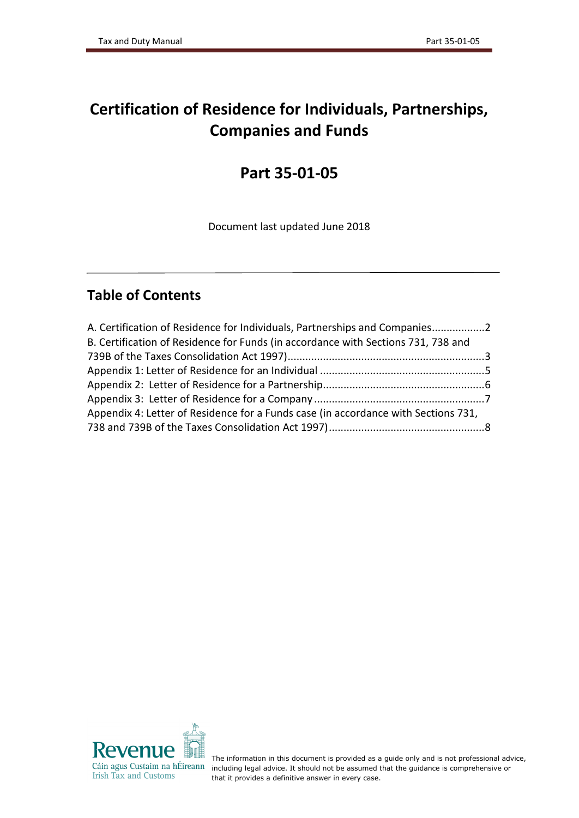# **Certification of Residence for Individuals, Partnerships, Companies and Funds**

# **Part 35-01-05**

Document last updated June 2018

## **Table of Contents**

| A. Certification of Residence for Individuals, Partnerships and Companies2         |  |
|------------------------------------------------------------------------------------|--|
| B. Certification of Residence for Funds (in accordance with Sections 731, 738 and  |  |
|                                                                                    |  |
|                                                                                    |  |
|                                                                                    |  |
|                                                                                    |  |
| Appendix 4: Letter of Residence for a Funds case (in accordance with Sections 731, |  |
|                                                                                    |  |



The information in this document is provided as a guide only and is not professional advice, including legal advice. It should not be assumed that the guidance is comprehensive or that it provides a definitive answer in every case.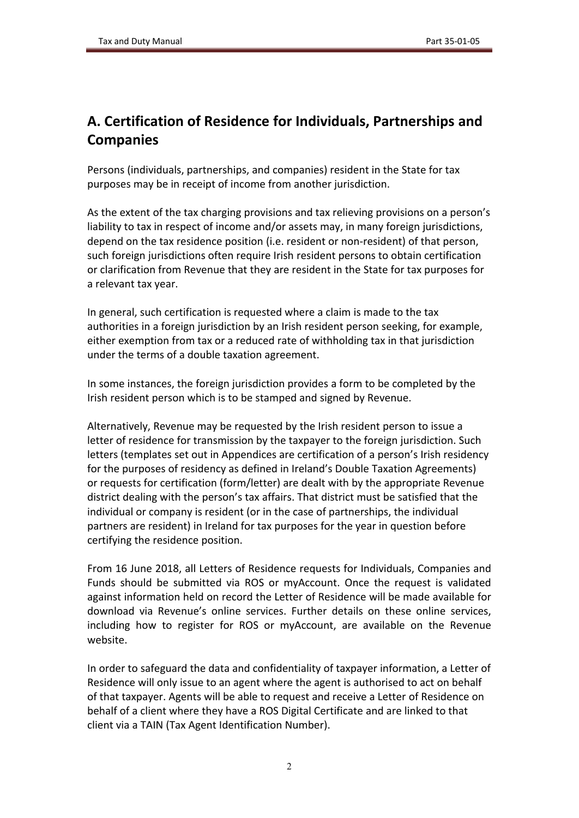# <span id="page-1-0"></span>**A. Certification of Residence for Individuals, Partnerships and Companies**

Persons (individuals, partnerships, and companies) resident in the State for tax purposes may be in receipt of income from another jurisdiction.

As the extent of the tax charging provisions and tax relieving provisions on a person's liability to tax in respect of income and/or assets may, in many foreign jurisdictions, depend on the tax residence position (i.e. resident or non-resident) of that person, such foreign jurisdictions often require Irish resident persons to obtain certification or clarification from Revenue that they are resident in the State for tax purposes for a relevant tax year.

In general, such certification is requested where a claim is made to the tax authorities in a foreign jurisdiction by an Irish resident person seeking, for example, either exemption from tax or a reduced rate of withholding tax in that jurisdiction under the terms of a double taxation agreement.

In some instances, the foreign jurisdiction provides a form to be completed by the Irish resident person which is to be stamped and signed by Revenue.

Alternatively, Revenue may be requested by the Irish resident person to issue a letter of residence for transmission by the taxpayer to the foreign jurisdiction. Such letters (templates set out in Appendices are certification of a person's Irish residency for the purposes of residency as defined in Ireland's Double Taxation Agreements) or requests for certification (form/letter) are dealt with by the appropriate Revenue district dealing with the person's tax affairs. That district must be satisfied that the individual or company is resident (or in the case of partnerships, the individual partners are resident) in Ireland for tax purposes for the year in question before certifying the residence position.

From 16 June 2018, all Letters of Residence requests for Individuals, Companies and Funds should be submitted via ROS or myAccount. Once the request is validated against information held on record the Letter of Residence will be made available for download via Revenue's online services. Further details on these online services, including how to register for ROS or myAccount, are available on the Revenue website.

In order to safeguard the data and confidentiality of taxpayer information, a Letter of Residence will only issue to an agent where the agent is authorised to act on behalf of that taxpayer. Agents will be able to request and receive a Letter of Residence on behalf of a client where they have a ROS Digital Certificate and are linked to that client via a TAIN (Tax Agent Identification Number).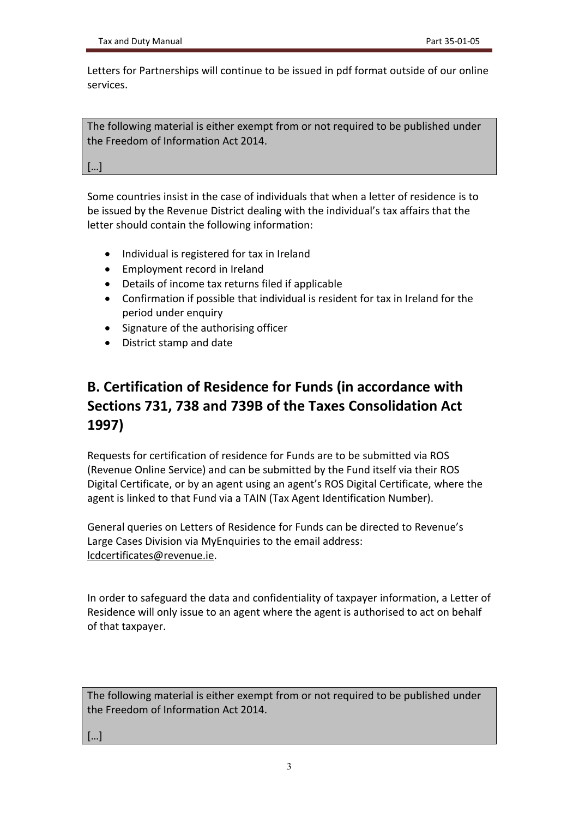Letters for Partnerships will continue to be issued in pdf format outside of our online services.

The following material is either exempt from or not required to be published under the Freedom of Information Act 2014.

[…]

Some countries insist in the case of individuals that when a letter of residence is to be issued by the Revenue District dealing with the individual's tax affairs that the letter should contain the following information:

- Individual is registered for tax in Ireland
- Employment record in Ireland
- Details of income tax returns filed if applicable
- Confirmation if possible that individual is resident for tax in Ireland for the period under enquiry
- Signature of the authorising officer
- District stamp and date

# <span id="page-2-0"></span>**B. Certification of Residence for Funds (in accordance with Sections 731, 738 and 739B of the Taxes Consolidation Act 1997)**

Requests for certification of residence for Funds are to be submitted via ROS (Revenue Online Service) and can be submitted by the Fund itself via their ROS Digital Certificate, or by an agent using an agent's ROS Digital Certificate, where the agent is linked to that Fund via a TAIN (Tax Agent Identification Number).

General queries on Letters of Residence for Funds can be directed to Revenue's Large Cases Division via MyEnquiries to the email address: [lcdcertificates@revenue.ie.](mailto:lcdcertificates@revenue.ie)

In order to safeguard the data and confidentiality of taxpayer information, a Letter of Residence will only issue to an agent where the agent is authorised to act on behalf of that taxpayer.

The following material is either exempt from or not required to be published under the Freedom of Information Act 2014.

[…]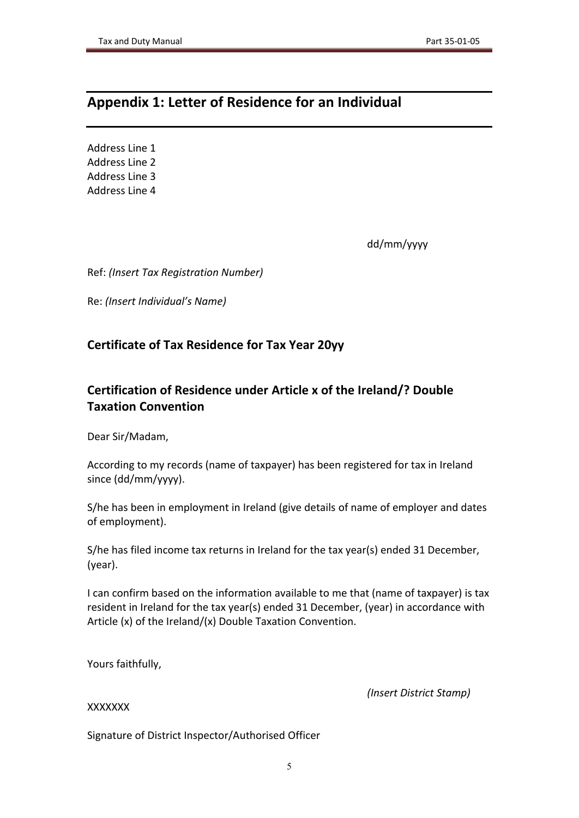### <span id="page-4-0"></span>**Appendix 1: Letter of Residence for an Individual**

Address Line 1 Address Line 2 Address Line 3 Address Line 4

dd/mm/yyyy

Ref: *(Insert Tax Registration Number)*

Re: *(Insert Individual's Name)*

### **Certificate of Tax Residence for Tax Year 20yy**

### **Certification of Residence under Article x of the Ireland/? Double Taxation Convention**

Dear Sir/Madam,

According to my records (name of taxpayer) has been registered for tax in Ireland since (dd/mm/yyyy).

S/he has been in employment in Ireland (give details of name of employer and dates of employment).

S/he has filed income tax returns in Ireland for the tax year(s) ended 31 December, (year).

I can confirm based on the information available to me that (name of taxpayer) is tax resident in Ireland for the tax year(s) ended 31 December, (year) in accordance with Article (x) of the Ireland/(x) Double Taxation Convention.

Yours faithfully,

*(Insert District Stamp)*

XXXXXXX

Signature of District Inspector/Authorised Officer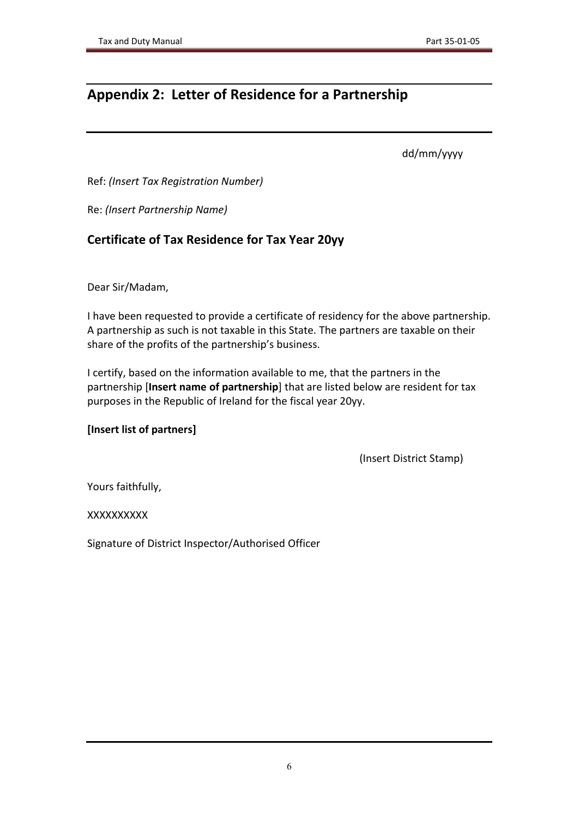# <span id="page-5-0"></span>**Appendix 2: Letter of Residence for a Partnership**

dd/mm/yyyy

Ref: *(Insert Tax Registration Number)*

Re: *(Insert Partnership Name)*

### **Certificate of Tax Residence for Tax Year 20yy**

Dear Sir/Madam,

I have been requested to provide a certificate of residency for the above partnership. A partnership as such is not taxable in this State. The partners are taxable on their share of the profits of the partnership's business.

I certify, based on the information available to me, that the partners in the partnership [**Insert name of partnership**] that are listed below are resident for tax purposes in the Republic of Ireland for the fiscal year 20yy.

### **[Insert list of partners]**

(Insert District Stamp)

Yours faithfully,

XXXXXXXXXX

Signature of District Inspector/Authorised Officer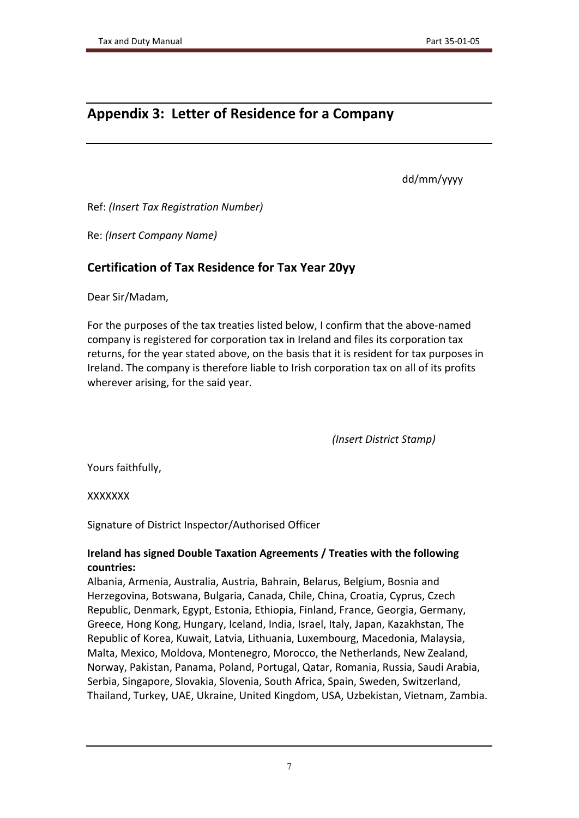### <span id="page-6-0"></span>**Appendix 3: Letter of Residence for a Company**

dd/mm/yyyy

Ref: *(Insert Tax Registration Number)*

Re: *(Insert Company Name)*

### **Certification of Tax Residence for Tax Year 20yy**

Dear Sir/Madam,

For the purposes of the tax treaties listed below, I confirm that the above-named company is registered for corporation tax in Ireland and files its corporation tax returns, for the year stated above, on the basis that it is resident for tax purposes in Ireland. The company is therefore liable to Irish corporation tax on all of its profits wherever arising, for the said year.

*(Insert District Stamp)*

Yours faithfully,

XXXXXXX

Signature of District Inspector/Authorised Officer

#### **Ireland has signed Double Taxation Agreements / Treaties with the following countries:**

Albania, Armenia, Australia, Austria, Bahrain, Belarus, Belgium, Bosnia and Herzegovina, Botswana, Bulgaria, Canada, Chile, China, Croatia, Cyprus, Czech Republic, Denmark, Egypt, Estonia, Ethiopia, Finland, France, Georgia, Germany, Greece, Hong Kong, Hungary, Iceland, India, Israel, Italy, Japan, Kazakhstan, The Republic of Korea, Kuwait, Latvia, Lithuania, Luxembourg, Macedonia, Malaysia, Malta, Mexico, Moldova, Montenegro, Morocco, the Netherlands, New Zealand, Norway, Pakistan, Panama, Poland, Portugal, Qatar, Romania, Russia, Saudi Arabia, Serbia, Singapore, Slovakia, Slovenia, South Africa, Spain, Sweden, Switzerland, Thailand, Turkey, UAE, Ukraine, United Kingdom, USA, Uzbekistan, Vietnam, Zambia.